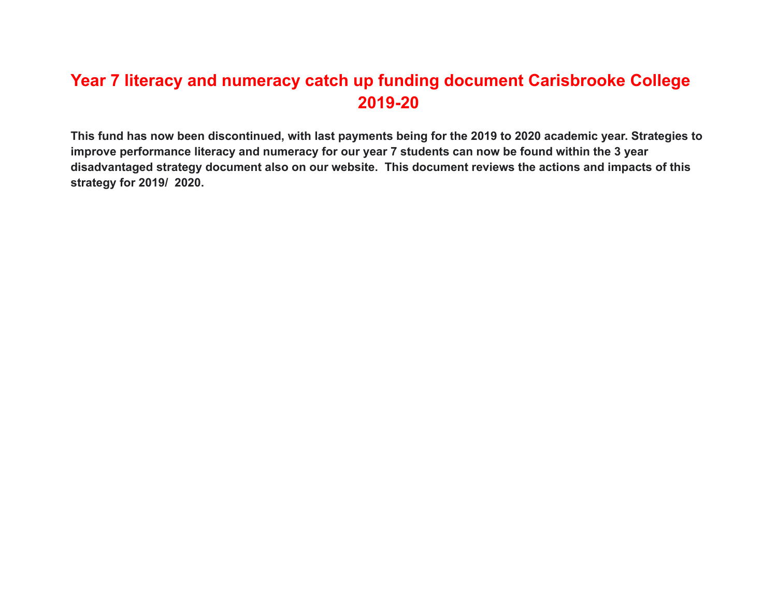# **Year 7 literacy and numeracy catch up funding document Carisbrooke College 2019-20**

**This fund has now been discontinued, with last payments being for the 2019 to 2020 academic year. Strategies to improve performance literacy and numeracy for our year 7 students can now be found within the 3 year disadvantaged strategy document also on our website. This document reviews the actions and impacts of this strategy for 2019/ 2020.**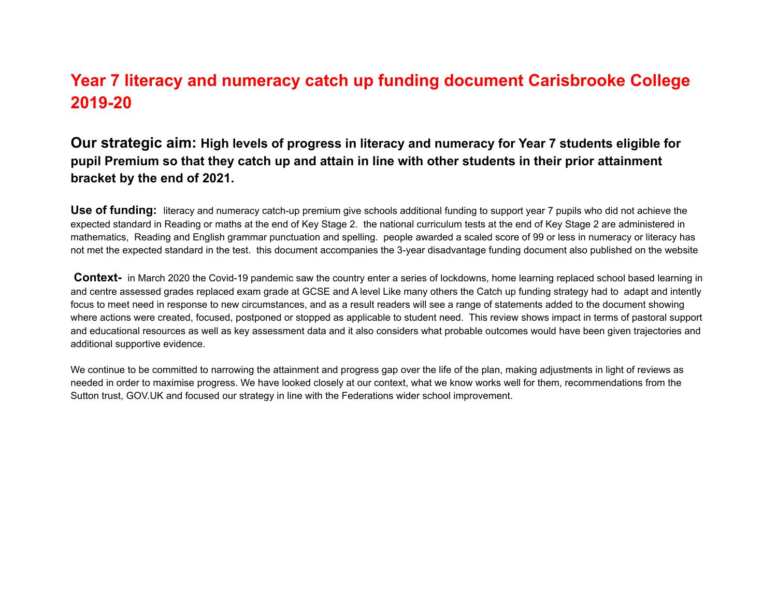## **Year 7 literacy and numeracy catch up funding document Carisbrooke College 2019-20**

### **Our strategic aim: High levels of progress in literacy and numeracy for Year 7 students eligible for** pupil Premium so that they catch up and attain in line with other students in their prior attainment **bracket by the end of 2021.**

**Use of funding:** literacy and numeracy catch-up premium give schools additional funding to support year 7 pupils who did not achieve the expected standard in Reading or maths at the end of Key Stage 2. the national curriculum tests at the end of Key Stage 2 are administered in mathematics, Reading and English grammar punctuation and spelling. people awarded a scaled score of 99 or less in numeracy or literacy has not met the expected standard in the test. this document accompanies the 3-year disadvantage funding document also published on the website

**Context-** in March 2020 the Covid-19 pandemic saw the country enter a series of lockdowns, home learning replaced school based learning in and centre assessed grades replaced exam grade at GCSE and A level Like many others the Catch up funding strategy had to adapt and intently focus to meet need in response to new circumstances, and as a result readers will see a range of statements added to the document showing where actions were created, focused, postponed or stopped as applicable to student need. This review shows impact in terms of pastoral support and educational resources as well as key assessment data and it also considers what probable outcomes would have been given trajectories and additional supportive evidence.

We continue to be committed to narrowing the attainment and progress gap over the life of the plan, making adjustments in light of reviews as needed in order to maximise progress. We have looked closely at our context, what we know works well for them, recommendations from the Sutton trust, GOV.UK and focused our strategy in line with the Federations wider school improvement.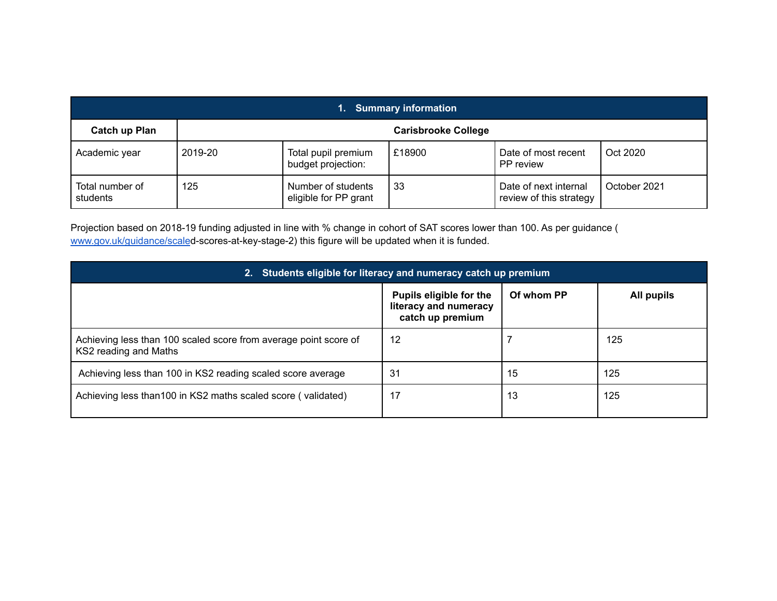| 1. Summary information      |                            |                                             |        |                                                  |              |  |
|-----------------------------|----------------------------|---------------------------------------------|--------|--------------------------------------------------|--------------|--|
| <b>Catch up Plan</b>        | <b>Carisbrooke College</b> |                                             |        |                                                  |              |  |
| Academic year               | 2019-20                    | Total pupil premium<br>budget projection:   | £18900 | Date of most recent<br>PP review                 | Oct 2020     |  |
| Total number of<br>students | 125                        | Number of students<br>eligible for PP grant | 33     | Date of next internal<br>review of this strategy | October 2021 |  |

Projection based on 2018-19 funding adjusted in line with % change in cohort of SAT scores lower than 100. As per guidance ( [www.gov.uk/guidance/scale](http://www.gov.uk/guidance/scaled)d-scores-at-key-stage-2) this figure will be updated when it is funded.

| 2. Students eligible for literacy and numeracy catch up premium                           |                                                                                                         |    |     |  |  |  |
|-------------------------------------------------------------------------------------------|---------------------------------------------------------------------------------------------------------|----|-----|--|--|--|
|                                                                                           | Of whom PP<br><b>Pupils eligible for the</b><br>All pupils<br>literacy and numeracy<br>catch up premium |    |     |  |  |  |
| Achieving less than 100 scaled score from average point score of<br>KS2 reading and Maths | 12                                                                                                      |    | 125 |  |  |  |
| Achieving less than 100 in KS2 reading scaled score average                               | 31                                                                                                      | 15 | 125 |  |  |  |
| Achieving less than 100 in KS2 maths scaled score (validated)                             | 17                                                                                                      | 13 | 125 |  |  |  |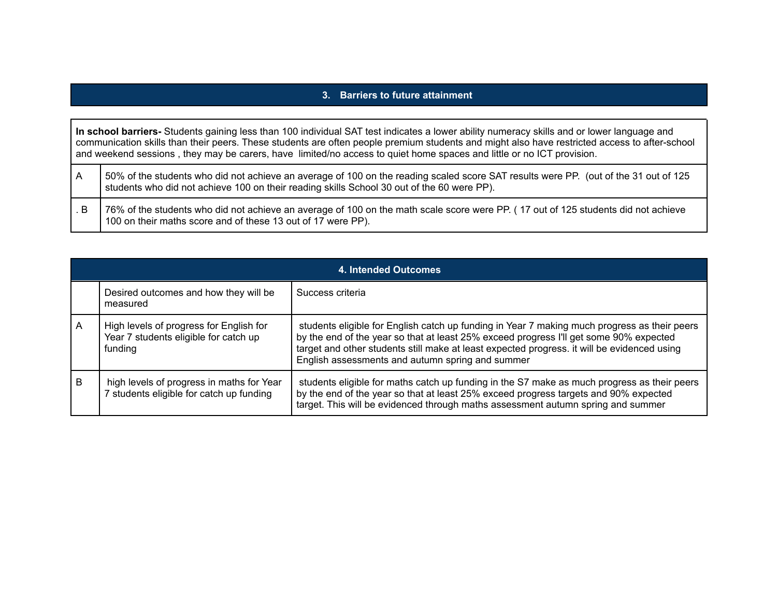#### **3. Barriers to future attainment**

|    | In school barriers-Students gaining less than 100 individual SAT test indicates a lower ability numeracy skills and or lower language and<br>communication skills than their peers. These students are often people premium students and might also have restricted access to after-school<br>and weekend sessions, they may be carers, have limited/no access to quiet home spaces and little or no ICT provision. |  |  |  |
|----|---------------------------------------------------------------------------------------------------------------------------------------------------------------------------------------------------------------------------------------------------------------------------------------------------------------------------------------------------------------------------------------------------------------------|--|--|--|
| ΙA | 50% of the students who did not achieve an average of 100 on the reading scaled score SAT results were PP. (out of the 31 out of 125<br>students who did not achieve 100 on their reading skills School 30 out of the 60 were PP).                                                                                                                                                                                  |  |  |  |
|    | 76% of the students who did not espinye an everges of 100 on the math seeks seem were DD (17 out of 125 otudents did not espinye                                                                                                                                                                                                                                                                                    |  |  |  |

| . B   76% of the students who did not achieve an average of 100 on the math scale score were PP. (17 out of 125 students did not achieve |
|------------------------------------------------------------------------------------------------------------------------------------------|
| 100 on their maths score and of these 13 out of 17 were PP).                                                                             |

|   | 4. Intended Outcomes                                                                        |                                                                                                                                                                                                                                                                                                                                           |  |  |  |  |
|---|---------------------------------------------------------------------------------------------|-------------------------------------------------------------------------------------------------------------------------------------------------------------------------------------------------------------------------------------------------------------------------------------------------------------------------------------------|--|--|--|--|
|   | Desired outcomes and how they will be<br>measured                                           | Success criteria                                                                                                                                                                                                                                                                                                                          |  |  |  |  |
| A | High levels of progress for English for<br>Year 7 students eligible for catch up<br>funding | students eligible for English catch up funding in Year 7 making much progress as their peers<br>by the end of the year so that at least 25% exceed progress I'll get some 90% expected<br>target and other students still make at least expected progress. it will be evidenced using<br>English assessments and autumn spring and summer |  |  |  |  |
| B | high levels of progress in maths for Year<br>7 students eligible for catch up funding       | students eligible for maths catch up funding in the S7 make as much progress as their peers<br>by the end of the year so that at least 25% exceed progress targets and 90% expected<br>target. This will be evidenced through maths assessment autumn spring and summer                                                                   |  |  |  |  |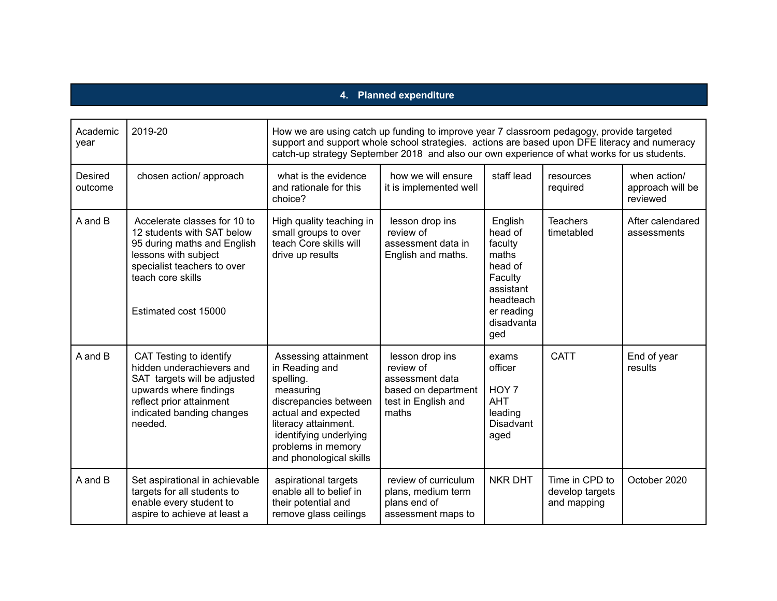### **4. Planned expenditure**

| Academic<br>year   | 2019-20                                                                                                                                                                                       | How we are using catch up funding to improve year 7 classroom pedagogy, provide targeted<br>support and support whole school strategies. actions are based upon DFE literacy and numeracy<br>catch-up strategy September 2018 and also our own experience of what works for us students. |                                                                                                        |                                                                                                                           |                                                  |                                              |
|--------------------|-----------------------------------------------------------------------------------------------------------------------------------------------------------------------------------------------|------------------------------------------------------------------------------------------------------------------------------------------------------------------------------------------------------------------------------------------------------------------------------------------|--------------------------------------------------------------------------------------------------------|---------------------------------------------------------------------------------------------------------------------------|--------------------------------------------------|----------------------------------------------|
| Desired<br>outcome | chosen action/ approach                                                                                                                                                                       | what is the evidence<br>and rationale for this<br>choice?                                                                                                                                                                                                                                | how we will ensure<br>it is implemented well                                                           | staff lead                                                                                                                | resources<br>required                            | when action/<br>approach will be<br>reviewed |
| A and B            | Accelerate classes for 10 to<br>12 students with SAT below<br>95 during maths and English<br>lessons with subject<br>specialist teachers to over<br>teach core skills<br>Estimated cost 15000 | High quality teaching in<br>small groups to over<br>teach Core skills will<br>drive up results                                                                                                                                                                                           | lesson drop ins<br>review of<br>assessment data in<br>English and maths.                               | English<br>head of<br>faculty<br>maths<br>head of<br>Faculty<br>assistant<br>headteach<br>er reading<br>disadvanta<br>ged | <b>Teachers</b><br>timetabled                    | After calendared<br>assessments              |
| A and B            | CAT Testing to identify<br>hidden underachievers and<br>SAT targets will be adjusted<br>upwards where findings<br>reflect prior attainment<br>indicated banding changes<br>needed.            | Assessing attainment<br>in Reading and<br>spelling.<br>measuring<br>discrepancies between<br>actual and expected<br>literacy attainment.<br>identifying underlying<br>problems in memory<br>and phonological skills                                                                      | lesson drop ins<br>review of<br>assessment data<br>based on department<br>test in English and<br>maths | exams<br>officer<br>HOY 7<br><b>AHT</b><br>leading<br><b>Disadvant</b><br>aged                                            | <b>CATT</b>                                      | End of year<br>results                       |
| A and B            | Set aspirational in achievable<br>targets for all students to<br>enable every student to<br>aspire to achieve at least a                                                                      | aspirational targets<br>enable all to belief in<br>their potential and<br>remove glass ceilings                                                                                                                                                                                          | review of curriculum<br>plans, medium term<br>plans end of<br>assessment maps to                       | <b>NKR DHT</b>                                                                                                            | Time in CPD to<br>develop targets<br>and mapping | October 2020                                 |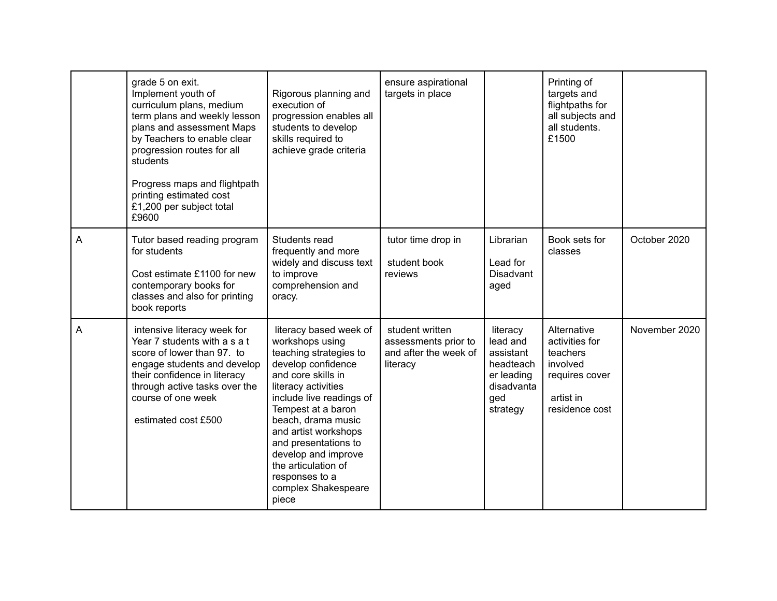|   | grade 5 on exit.<br>Implement youth of<br>curriculum plans, medium<br>term plans and weekly lesson<br>plans and assessment Maps<br>by Teachers to enable clear<br>progression routes for all<br>students<br>Progress maps and flightpath<br>printing estimated cost<br>£1,200 per subject total<br>£9600 | Rigorous planning and<br>execution of<br>progression enables all<br>students to develop<br>skills required to<br>achieve grade criteria                                                                                                                                                                                                                        | ensure aspirational<br>targets in place                                      |                                                                                               | Printing of<br>targets and<br>flightpaths for<br>all subjects and<br>all students.<br>£1500            |               |
|---|----------------------------------------------------------------------------------------------------------------------------------------------------------------------------------------------------------------------------------------------------------------------------------------------------------|----------------------------------------------------------------------------------------------------------------------------------------------------------------------------------------------------------------------------------------------------------------------------------------------------------------------------------------------------------------|------------------------------------------------------------------------------|-----------------------------------------------------------------------------------------------|--------------------------------------------------------------------------------------------------------|---------------|
| A | Tutor based reading program<br>for students<br>Cost estimate £1100 for new<br>contemporary books for<br>classes and also for printing<br>book reports                                                                                                                                                    | Students read<br>frequently and more<br>widely and discuss text<br>to improve<br>comprehension and<br>oracy.                                                                                                                                                                                                                                                   | tutor time drop in<br>student book<br>reviews                                | Librarian<br>Lead for<br><b>Disadvant</b><br>aged                                             | Book sets for<br>classes                                                                               | October 2020  |
| A | intensive literacy week for<br>Year 7 students with a s a t<br>score of lower than 97. to<br>engage students and develop<br>their confidence in literacy<br>through active tasks over the<br>course of one week<br>estimated cost £500                                                                   | literacy based week of<br>workshops using<br>teaching strategies to<br>develop confidence<br>and core skills in<br>literacy activities<br>include live readings of<br>Tempest at a baron<br>beach, drama music<br>and artist workshops<br>and presentations to<br>develop and improve<br>the articulation of<br>responses to a<br>complex Shakespeare<br>piece | student written<br>assessments prior to<br>and after the week of<br>literacy | literacy<br>lead and<br>assistant<br>headteach<br>er leading<br>disadvanta<br>ged<br>strategy | Alternative<br>activities for<br>teachers<br>involved<br>requires cover<br>artist in<br>residence cost | November 2020 |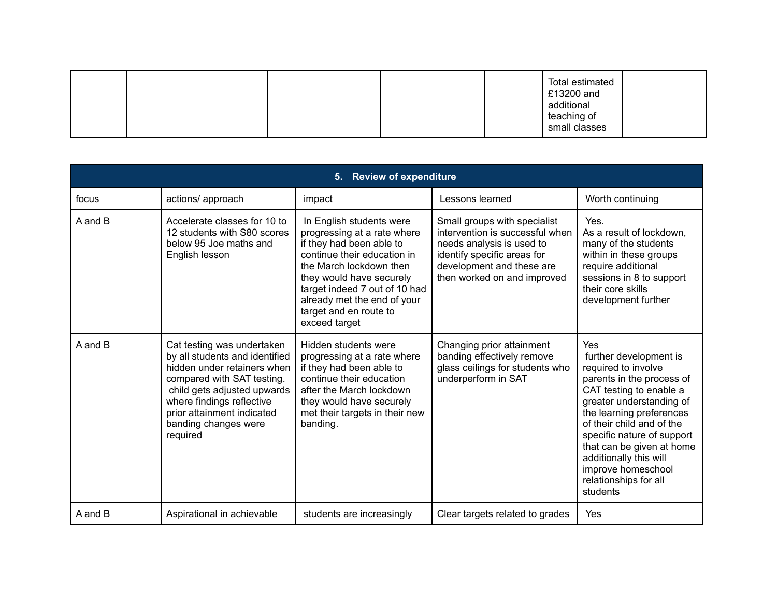| <b>Review of expenditure</b><br>5. |                                                                                                                                                                                                                                                         |                                                                                                                                                                                                                                                                                      |                                                                                                                                                                                         |                                                                                                                                                                                                                                                                                                                                                   |  |  |
|------------------------------------|---------------------------------------------------------------------------------------------------------------------------------------------------------------------------------------------------------------------------------------------------------|--------------------------------------------------------------------------------------------------------------------------------------------------------------------------------------------------------------------------------------------------------------------------------------|-----------------------------------------------------------------------------------------------------------------------------------------------------------------------------------------|---------------------------------------------------------------------------------------------------------------------------------------------------------------------------------------------------------------------------------------------------------------------------------------------------------------------------------------------------|--|--|
| focus                              | actions/ approach                                                                                                                                                                                                                                       | impact                                                                                                                                                                                                                                                                               | Lessons learned                                                                                                                                                                         | Worth continuing                                                                                                                                                                                                                                                                                                                                  |  |  |
| A and B                            | Accelerate classes for 10 to<br>12 students with S80 scores<br>below 95 Joe maths and<br>English lesson                                                                                                                                                 | In English students were<br>progressing at a rate where<br>if they had been able to<br>continue their education in<br>the March lockdown then<br>they would have securely<br>target indeed 7 out of 10 had<br>already met the end of your<br>target and en route to<br>exceed target | Small groups with specialist<br>intervention is successful when<br>needs analysis is used to<br>identify specific areas for<br>development and these are<br>then worked on and improved | Yes.<br>As a result of lockdown,<br>many of the students<br>within in these groups<br>require additional<br>sessions in 8 to support<br>their core skills<br>development further                                                                                                                                                                  |  |  |
| A and B                            | Cat testing was undertaken<br>by all students and identified<br>hidden under retainers when<br>compared with SAT testing.<br>child gets adjusted upwards<br>where findings reflective<br>prior attainment indicated<br>banding changes were<br>required | Hidden students were<br>progressing at a rate where<br>if they had been able to<br>continue their education<br>after the March lockdown<br>they would have securely<br>met their targets in their new<br>banding.                                                                    | Changing prior attainment<br>banding effectively remove<br>glass ceilings for students who<br>underperform in SAT                                                                       | Yes<br>further development is<br>required to involve<br>parents in the process of<br>CAT testing to enable a<br>greater understanding of<br>the learning preferences<br>of their child and of the<br>specific nature of support<br>that can be given at home<br>additionally this will<br>improve homeschool<br>relationships for all<br>students |  |  |
| A and B                            | Aspirational in achievable                                                                                                                                                                                                                              | students are increasingly                                                                                                                                                                                                                                                            | Clear targets related to grades                                                                                                                                                         | Yes                                                                                                                                                                                                                                                                                                                                               |  |  |